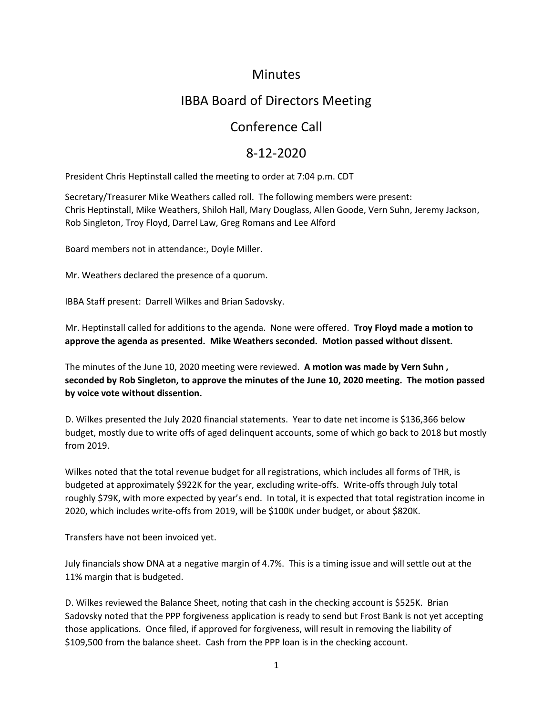#### **Minutes**

# IBBA Board of Directors Meeting

## Conference Call

## 8-12-2020

President Chris Heptinstall called the meeting to order at 7:04 p.m. CDT

Secretary/Treasurer Mike Weathers called roll. The following members were present: Chris Heptinstall, Mike Weathers, Shiloh Hall, Mary Douglass, Allen Goode, Vern Suhn, Jeremy Jackson, Rob Singleton, Troy Floyd, Darrel Law, Greg Romans and Lee Alford

Board members not in attendance:, Doyle Miller.

Mr. Weathers declared the presence of a quorum.

IBBA Staff present: Darrell Wilkes and Brian Sadovsky.

Mr. Heptinstall called for additions to the agenda. None were offered. **Troy Floyd made a motion to approve the agenda as presented. Mike Weathers seconded. Motion passed without dissent.** 

The minutes of the June 10, 2020 meeting were reviewed. **A motion was made by Vern Suhn , seconded by Rob Singleton, to approve the minutes of the June 10, 2020 meeting. The motion passed by voice vote without dissention.** 

D. Wilkes presented the July 2020 financial statements. Year to date net income is \$136,366 below budget, mostly due to write offs of aged delinquent accounts, some of which go back to 2018 but mostly from 2019.

Wilkes noted that the total revenue budget for all registrations, which includes all forms of THR, is budgeted at approximately \$922K for the year, excluding write-offs. Write-offs through July total roughly \$79K, with more expected by year's end. In total, it is expected that total registration income in 2020, which includes write-offs from 2019, will be \$100K under budget, or about \$820K.

Transfers have not been invoiced yet.

July financials show DNA at a negative margin of 4.7%. This is a timing issue and will settle out at the 11% margin that is budgeted.

D. Wilkes reviewed the Balance Sheet, noting that cash in the checking account is \$525K. Brian Sadovsky noted that the PPP forgiveness application is ready to send but Frost Bank is not yet accepting those applications. Once filed, if approved for forgiveness, will result in removing the liability of \$109,500 from the balance sheet. Cash from the PPP loan is in the checking account.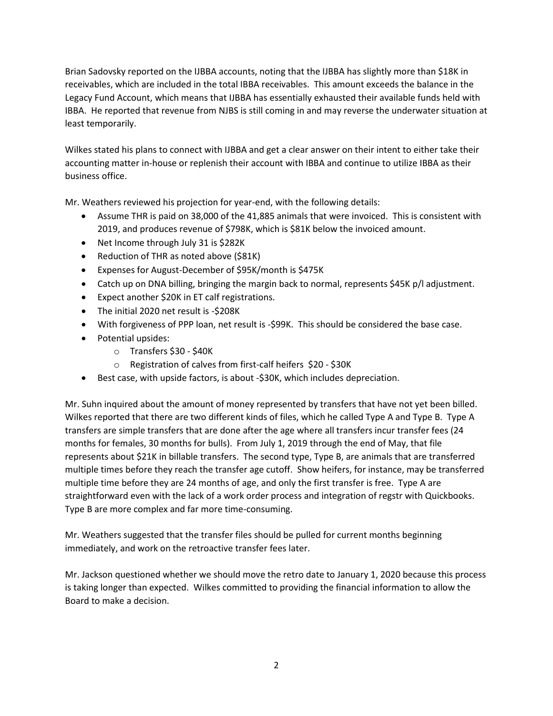Brian Sadovsky reported on the IJBBA accounts, noting that the IJBBA has slightly more than \$18K in receivables, which are included in the total IBBA receivables. This amount exceeds the balance in the Legacy Fund Account, which means that IJBBA has essentially exhausted their available funds held with IBBA. He reported that revenue from NJBS is still coming in and may reverse the underwater situation at least temporarily.

Wilkes stated his plans to connect with IJBBA and get a clear answer on their intent to either take their accounting matter in-house or replenish their account with IBBA and continue to utilize IBBA as their business office.

Mr. Weathers reviewed his projection for year-end, with the following details:

- Assume THR is paid on 38,000 of the 41,885 animals that were invoiced. This is consistent with 2019, and produces revenue of \$798K, which is \$81K below the invoiced amount.
- Net Income through July 31 is \$282K
- Reduction of THR as noted above (\$81K)
- Expenses for August-December of \$95K/month is \$475K
- Catch up on DNA billing, bringing the margin back to normal, represents \$45K p/l adjustment.
- Expect another \$20K in ET calf registrations.
- The initial 2020 net result is -\$208K
- With forgiveness of PPP loan, net result is -\$99K. This should be considered the base case.
- Potential upsides:
	- o Transfers \$30 \$40K
	- o Registration of calves from first-calf heifers \$20 \$30K
- Best case, with upside factors, is about -\$30K, which includes depreciation.

Mr. Suhn inquired about the amount of money represented by transfers that have not yet been billed. Wilkes reported that there are two different kinds of files, which he called Type A and Type B. Type A transfers are simple transfers that are done after the age where all transfers incur transfer fees (24 months for females, 30 months for bulls). From July 1, 2019 through the end of May, that file represents about \$21K in billable transfers. The second type, Type B, are animals that are transferred multiple times before they reach the transfer age cutoff. Show heifers, for instance, may be transferred multiple time before they are 24 months of age, and only the first transfer is free. Type A are straightforward even with the lack of a work order process and integration of regstr with Quickbooks. Type B are more complex and far more time-consuming.

Mr. Weathers suggested that the transfer files should be pulled for current months beginning immediately, and work on the retroactive transfer fees later.

Mr. Jackson questioned whether we should move the retro date to January 1, 2020 because this process is taking longer than expected. Wilkes committed to providing the financial information to allow the Board to make a decision.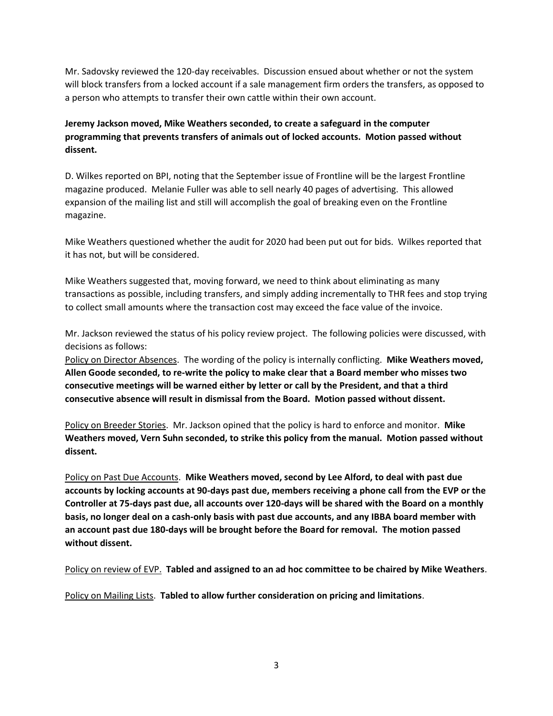Mr. Sadovsky reviewed the 120-day receivables. Discussion ensued about whether or not the system will block transfers from a locked account if a sale management firm orders the transfers, as opposed to a person who attempts to transfer their own cattle within their own account.

**Jeremy Jackson moved, Mike Weathers seconded, to create a safeguard in the computer programming that prevents transfers of animals out of locked accounts. Motion passed without dissent.** 

D. Wilkes reported on BPI, noting that the September issue of Frontline will be the largest Frontline magazine produced. Melanie Fuller was able to sell nearly 40 pages of advertising. This allowed expansion of the mailing list and still will accomplish the goal of breaking even on the Frontline magazine.

Mike Weathers questioned whether the audit for 2020 had been put out for bids. Wilkes reported that it has not, but will be considered.

Mike Weathers suggested that, moving forward, we need to think about eliminating as many transactions as possible, including transfers, and simply adding incrementally to THR fees and stop trying to collect small amounts where the transaction cost may exceed the face value of the invoice.

Mr. Jackson reviewed the status of his policy review project. The following policies were discussed, with decisions as follows:

Policy on Director Absences. The wording of the policy is internally conflicting. **Mike Weathers moved, Allen Goode seconded, to re-write the policy to make clear that a Board member who misses two consecutive meetings will be warned either by letter or call by the President, and that a third consecutive absence will result in dismissal from the Board. Motion passed without dissent.** 

Policy on Breeder Stories. Mr. Jackson opined that the policy is hard to enforce and monitor. **Mike Weathers moved, Vern Suhn seconded, to strike this policy from the manual. Motion passed without dissent.** 

Policy on Past Due Accounts. **Mike Weathers moved, second by Lee Alford, to deal with past due accounts by locking accounts at 90-days past due, members receiving a phone call from the EVP or the Controller at 75-days past due, all accounts over 120-days will be shared with the Board on a monthly basis, no longer deal on a cash-only basis with past due accounts, and any IBBA board member with an account past due 180-days will be brought before the Board for removal. The motion passed without dissent.** 

Policy on review of EVP. **Tabled and assigned to an ad hoc committee to be chaired by Mike Weathers**.

Policy on Mailing Lists. **Tabled to allow further consideration on pricing and limitations**.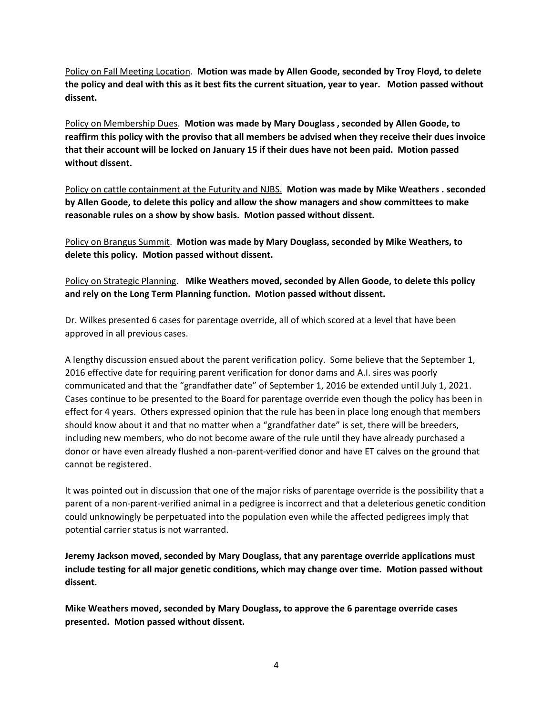Policy on Fall Meeting Location. **Motion was made by Allen Goode, seconded by Troy Floyd, to delete the policy and deal with this as it best fits the current situation, year to year. Motion passed without dissent.** 

Policy on Membership Dues. **Motion was made by Mary Douglass , seconded by Allen Goode, to reaffirm this policy with the proviso that all members be advised when they receive their dues invoice that their account will be locked on January 15 if their dues have not been paid. Motion passed without dissent.** 

Policy on cattle containment at the Futurity and NJBS. **Motion was made by Mike Weathers . seconded by Allen Goode, to delete this policy and allow the show managers and show committees to make reasonable rules on a show by show basis. Motion passed without dissent.** 

Policy on Brangus Summit. **Motion was made by Mary Douglass, seconded by Mike Weathers, to delete this policy. Motion passed without dissent.** 

Policy on Strategic Planning. **Mike Weathers moved, seconded by Allen Goode, to delete this policy and rely on the Long Term Planning function. Motion passed without dissent.** 

Dr. Wilkes presented 6 cases for parentage override, all of which scored at a level that have been approved in all previous cases.

A lengthy discussion ensued about the parent verification policy. Some believe that the September 1, 2016 effective date for requiring parent verification for donor dams and A.I. sires was poorly communicated and that the "grandfather date" of September 1, 2016 be extended until July 1, 2021. Cases continue to be presented to the Board for parentage override even though the policy has been in effect for 4 years. Others expressed opinion that the rule has been in place long enough that members should know about it and that no matter when a "grandfather date" is set, there will be breeders, including new members, who do not become aware of the rule until they have already purchased a donor or have even already flushed a non-parent-verified donor and have ET calves on the ground that cannot be registered.

It was pointed out in discussion that one of the major risks of parentage override is the possibility that a parent of a non-parent-verified animal in a pedigree is incorrect and that a deleterious genetic condition could unknowingly be perpetuated into the population even while the affected pedigrees imply that potential carrier status is not warranted.

**Jeremy Jackson moved, seconded by Mary Douglass, that any parentage override applications must include testing for all major genetic conditions, which may change over time. Motion passed without dissent.** 

**Mike Weathers moved, seconded by Mary Douglass, to approve the 6 parentage override cases presented. Motion passed without dissent.**